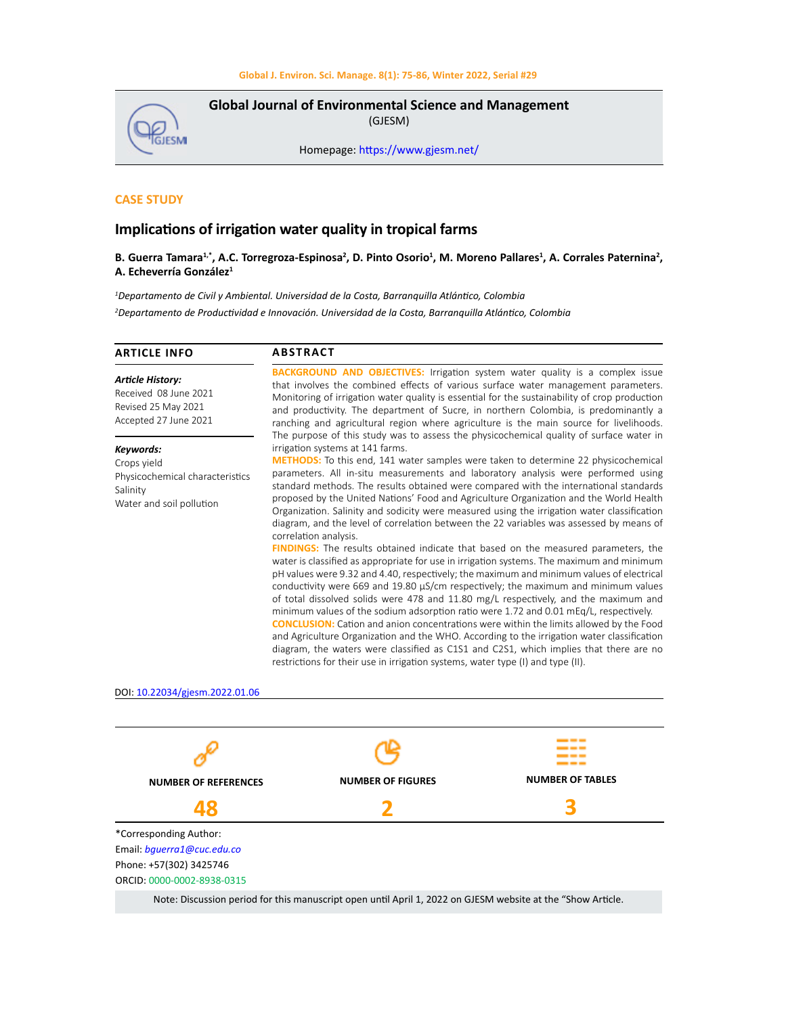**Global Journal of Environmental Science and Management**  (GJESM)



Homepage: [https://www.gjesm.net/](https://www.gjesm.net/ )

# **CASE STUDY**

# **Implications of irrigation water quality in tropical farms**

## **B. Guerra Tamara1,\*, A.C. Torregroza-Espinosa<sup>2</sup> , D. Pinto Osorio<sup>1</sup> , M. Moreno Pallares<sup>1</sup> , A. Corrales Paternina<sup>2</sup> , A. Echeverría González1**

*1 Departamento de Civil y Ambiental. Universidad de la Costa, Barranquilla Atlántico, Colombia 2 Departamento de Productividad e Innovación. Universidad de la Costa, Barranquilla Atlántico, Colombia*

| <b>ARTICLE INFO</b>                                                                                 | <b>ABSTRACT</b>                                                                                                                                                                                                                                                                                                                                                                                                                                                                                                                                                                                                                                                                                                                                                                                                                                                                                                                                                                                                                                                                                                                                                                                                                                                                                                                                                                                                                                                                                                                                                  |  |  |  |  |  |
|-----------------------------------------------------------------------------------------------------|------------------------------------------------------------------------------------------------------------------------------------------------------------------------------------------------------------------------------------------------------------------------------------------------------------------------------------------------------------------------------------------------------------------------------------------------------------------------------------------------------------------------------------------------------------------------------------------------------------------------------------------------------------------------------------------------------------------------------------------------------------------------------------------------------------------------------------------------------------------------------------------------------------------------------------------------------------------------------------------------------------------------------------------------------------------------------------------------------------------------------------------------------------------------------------------------------------------------------------------------------------------------------------------------------------------------------------------------------------------------------------------------------------------------------------------------------------------------------------------------------------------------------------------------------------------|--|--|--|--|--|
| <b>Article History:</b><br>Received 08 June 2021<br>Revised 25 May 2021<br>Accepted 27 June 2021    | <b>BACKGROUND AND OBJECTIVES:</b> Irrigation system water quality is a complex issue<br>that involves the combined effects of various surface water management parameters.<br>Monitoring of irrigation water quality is essential for the sustainability of crop production<br>and productivity. The department of Sucre, in northern Colombia, is predominantly a<br>ranching and agricultural region where agriculture is the main source for livelihoods.                                                                                                                                                                                                                                                                                                                                                                                                                                                                                                                                                                                                                                                                                                                                                                                                                                                                                                                                                                                                                                                                                                     |  |  |  |  |  |
| Keywords:<br>Crops yield<br>Physicochemical characteristics<br>Salinity<br>Water and soil pollution | The purpose of this study was to assess the physicochemical quality of surface water in<br>irrigation systems at 141 farms.<br>METHODS: To this end, 141 water samples were taken to determine 22 physicochemical<br>parameters. All in-situ measurements and laboratory analysis were performed using<br>standard methods. The results obtained were compared with the international standards<br>proposed by the United Nations' Food and Agriculture Organization and the World Health<br>Organization. Salinity and sodicity were measured using the irrigation water classification<br>diagram, and the level of correlation between the 22 variables was assessed by means of<br>correlation analysis.<br><b>FINDINGS:</b> The results obtained indicate that based on the measured parameters, the<br>water is classified as appropriate for use in irrigation systems. The maximum and minimum<br>pH values were 9.32 and 4.40, respectively; the maximum and minimum values of electrical<br>conductivity were 669 and 19.80 µS/cm respectively; the maximum and minimum values<br>of total dissolved solids were 478 and 11.80 mg/L respectively, and the maximum and<br>minimum values of the sodium adsorption ratio were 1.72 and 0.01 mEq/L, respectively.<br><b>CONCLUSION:</b> Cation and anion concentrations were within the limits allowed by the Food<br>and Agriculture Organization and the WHO. According to the irrigation water classification<br>diagram, the waters were classified as C1S1 and C2S1, which implies that there are no |  |  |  |  |  |
| DOI: 10.22034/gjesm.2022.01.06                                                                      |                                                                                                                                                                                                                                                                                                                                                                                                                                                                                                                                                                                                                                                                                                                                                                                                                                                                                                                                                                                                                                                                                                                                                                                                                                                                                                                                                                                                                                                                                                                                                                  |  |  |  |  |  |
|                                                                                                     |                                                                                                                                                                                                                                                                                                                                                                                                                                                                                                                                                                                                                                                                                                                                                                                                                                                                                                                                                                                                                                                                                                                                                                                                                                                                                                                                                                                                                                                                                                                                                                  |  |  |  |  |  |



Note: Discussion period for this manuscript open until April 1, 2022 on GJESM website at the "Show Article.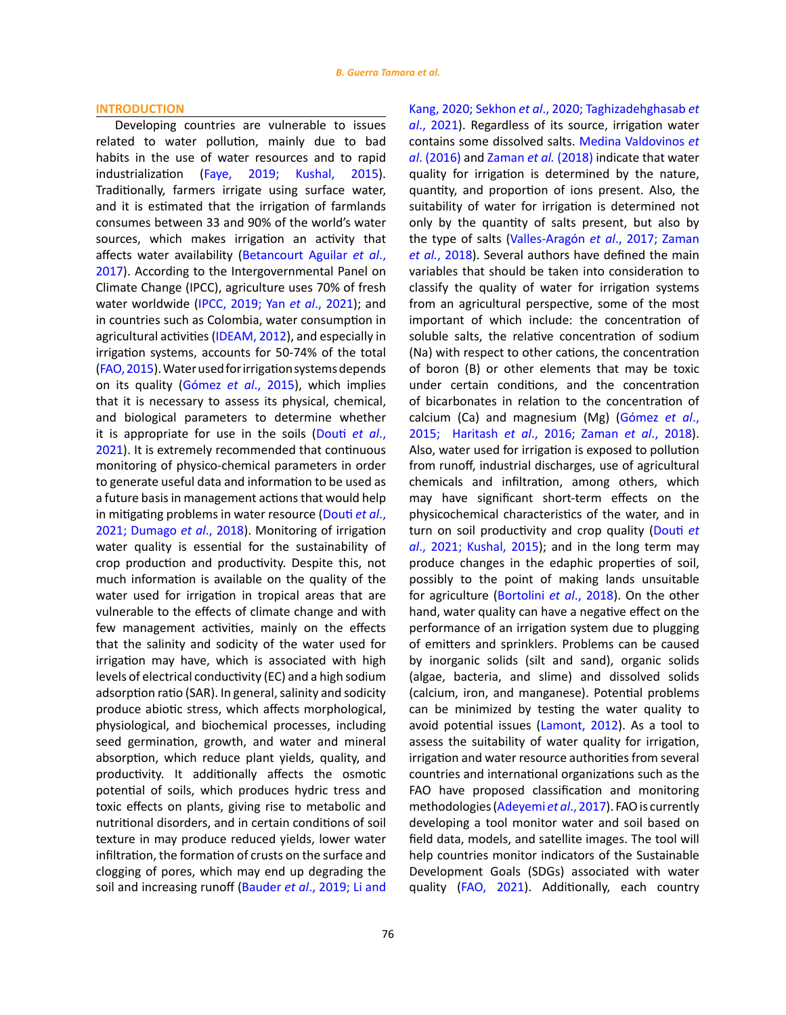#### **INTRODUCTION**

Developing countries are vulnerable to issues related to water pollution, mainly due to bad habits in the use of water resources and to rapid industrialization ([Faye, 2019; Kushal, 2015](#page-10-0)). Traditionally, farmers irrigate using surface water, and it is estimated that the irrigation of farmlands consumes between 33 and 90% of the world's water sources, which makes irrigation an activity that affects water availability ([Betancourt Aguilar](#page-10-0) *et al*., [2017](#page-10-0)). According to the Intergovernmental Panel on Climate Change (IPCC), agriculture uses 70% of fresh water worldwide ([IPCC, 2019; Yan](#page-10-0) *et al*., 2021); and in countries such as Colombia, water consumption in agricultural activities ([IDEAM, 2012](#page-10-0)), and especially in irrigation systems, accounts for 50-74% of the total ([FAO, 2015\)](#page-10-0). Water used for irrigation systems depends on its quality ([Gómez](#page-10-0) *et al*., 2015), which implies that it is necessary to assess its physical, chemical, and biological parameters to determine whether it is appropriate for use in the soils ([Douti](#page-10-0) *et al*., [2021](#page-10-0)). It is extremely recommended that continuous monitoring of physico-chemical parameters in order to generate useful data and information to be used as a future basis in management actions that would help in mitigating problems in water resource ([Douti](#page-10-0) *et al*., [2021; Dumago](#page-10-0) *et al*., 2018). Monitoring of irrigation water quality is essential for the sustainability of crop production and productivity. Despite this, not much information is available on the quality of the water used for irrigation in tropical areas that are vulnerable to the effects of climate change and with few management activities, mainly on the effects that the salinity and sodicity of the water used for irrigation may have, which is associated with high levels of electrical conductivity (EC) and a high sodium adsorption ratio (SAR). In general, salinity and sodicity produce abiotic stress, which affects morphological, physiological, and biochemical processes, including seed germination, growth, and water and mineral absorption, which reduce plant yields, quality, and productivity. It additionally affects the osmotic potential of soils, which produces hydric tress and toxic effects on plants, giving rise to metabolic and nutritional disorders, and in certain conditions of soil texture in may produce reduced yields, lower water infiltration, the formation of crusts on the surface and clogging of pores, which may end up degrading the soil and increasing runoff (Bauder *et al*[., 2019; Li and](#page-10-0)  Kang, 2020; Sekhon *et al*[., 2020; Taghizadehghasab](#page-10-0) *et al*[., 2021\)](#page-10-0). Regardless of its source, irrigation water contains some dissolved salts. [Medina Valdovinos](#page-10-0) *et al*[. \(2016\)](#page-10-0) an[d Zaman](#page-10-0) *et al.* (2018) indicate that water quality for irrigation is determined by the nature, quantity, and proportion of ions present. Also, the suitability of water for irrigation is determined not only by the quantity of salts present, but also by the type of salts (Valles-Aragón *et al*[., 2017; Zaman](#page-10-0) *et al.*[, 2018](#page-10-0)). Several authors have defined the main variables that should be taken into consideration to classify the quality of water for irrigation systems from an agricultural perspective, some of the most important of which include: the concentration of soluble salts, the relative concentration of sodium (Na) with respect to other cations, the concentration of boron (B) or other elements that may be toxic under certain conditions, and the concentration of bicarbonates in relation to the concentration of calcium (Ca) and magnesium (Mg) ([Gómez](#page-10-0) *et al*., [2015; Haritash](#page-10-0) *et al*., 2016; Zaman *et al*., 2018). Also, water used for irrigation is exposed to pollution from runoff, industrial discharges, use of agricultural chemicals and infiltration, among others, which may have significant short-term effects on the physicochemical characteristics of the water, and in turn on soil productivity and crop quality [\(Douti](#page-10-0) *et al*[., 2021; Kushal, 2015](#page-10-0)); and in the long term may produce changes in the edaphic properties of soil, possibly to the point of making lands unsuitable for agriculture [\(Bortolini](#page-10-0) *et al*., 2018). On the other hand, water quality can have a negative effect on the performance of an irrigation system due to plugging of emitters and sprinklers. Problems can be caused by inorganic solids (silt and sand), organic solids (algae, bacteria, and slime) and dissolved solids (calcium, iron, and manganese). Potential problems can be minimized by testing the water quality to avoid potential issues ([Lamont, 2012](#page-10-0)). As a tool to assess the suitability of water quality for irrigation, irrigation and water resource authorities from several countries and international organizations such as the FAO have proposed classification and monitoring methodologies ([Adeyemi](#page-10-0) *et al*., 2017). FAO is currently developing a tool monitor water and soil based on field data, models, and satellite images. The tool will help countries monitor indicators of the Sustainable Development Goals (SDGs) associated with water quality [\(FAO, 2021\)](#page-10-0). Additionally, each country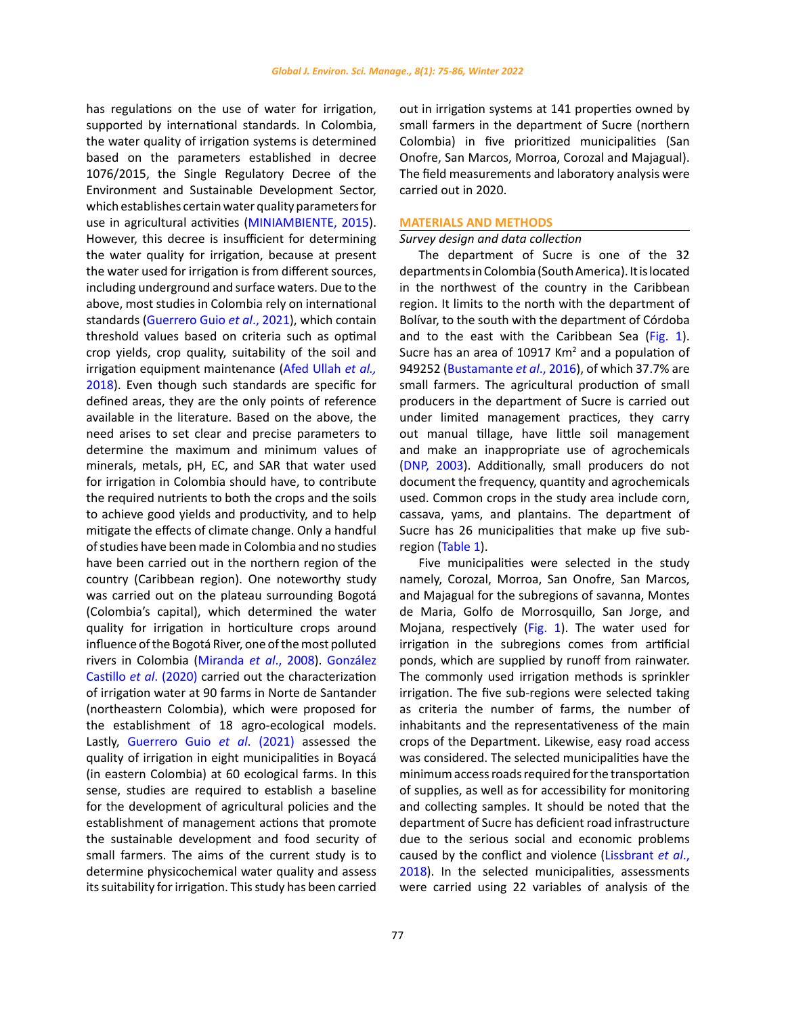has regulations on the use of water for irrigation, supported by international standards. In Colombia, the water quality of irrigation systems is determined based on the parameters established in decree 1076/2015, the Single Regulatory Decree of the Environment and Sustainable Development Sector, which establishes certain water quality parameters for use in agricultural activities [\(MINIAMBIENTE, 2015\)](#page-10-0). However, this decree is insufficient for determining the water quality for irrigation, because at present the water used for irrigation is from different sources, including underground and surface waters. Due to the above, most studies in Colombia rely on international standards ([Guerrero Guio](#page-10-0) *et al*., 2021), which contain threshold values based on criteria such as optimal crop yields, crop quality, suitability of the soil and irrigation equipment maintenance ([Afed Ullah](#page-10-0) *et al.,* [2018](#page-10-0)). Even though such standards are specific for defined areas, they are the only points of reference available in the literature. Based on the above, the need arises to set clear and precise parameters to determine the maximum and minimum values of minerals, metals, pH, EC, and SAR that water used for irrigation in Colombia should have, to contribute the required nutrients to both the crops and the soils to achieve good yields and productivity, and to help mitigate the effects of climate change. Only a handful of studies have been made in Colombia and no studies have been carried out in the northern region of the country (Caribbean region). One noteworthy study was carried out on the plateau surrounding Bogotá (Colombia's capital), which determined the water quality for irrigation in horticulture crops around influence of the Bogotá River, one of the most polluted rivers in Colombia (Miranda *et al*[., 2008\). González](#page-10-0)  Castillo *et al*[. \(2020\) c](#page-10-0)arried out the characterization of irrigation water at 90 farms in Norte de Santander (northeastern Colombia), which were proposed for the establishment of 18 agro-ecological models. Lastly, Guerrero Guio *et al*. (2021) assessed the quality of irrigation in eight municipalities in Boyacá (in eastern Colombia) at 60 ecological farms. In this sense, studies are required to establish a baseline for the development of agricultural policies and the establishment of management actions that promote the sustainable development and food security of small farmers. The aims of the current study is to determine physicochemical water quality and assess its suitability for irrigation. This study has been carried out in irrigation systems at 141 properties owned by small farmers in the department of Sucre (northern Colombia) in five prioritized municipalities (San Onofre, San Marcos, Morroa, Corozal and Majagual). The field measurements and laboratory analysis were carried out in 2020.

# **MATERIALS AND METHODS**

## *Survey design and data collection*

The department of Sucre is one of the 32 departments in Colombia (South America). It is located in the northwest of the country in the Caribbean region. It limits to the north with the department of Bolívar, to the south with the department of Córdoba and to the east with the Caribbean Sea [\(Fig. 1\)](#page-3-0). Sucre has an area of 10917  $\text{Km}^2$  and a population of 949252 ([Bustamante](#page-10-0) *et al*., 2016), of which 37.7% are small farmers. The agricultural production of small producers in the department of Sucre is carried out under limited management practices, they carry out manual tillage, have little soil management and make an inappropriate use of agrochemicals ([DNP, 2003\)](#page-10-0). Additionally, small producers do not document the frequency, quantity and agrochemicals used. Common crops in the study area include corn, cassava, yams, and plantains. The department of Sucre has 26 municipalities that make up five subregion ([Table 1](#page-3-0)).

Five municipalities were selected in the study namely, Corozal, Morroa, San Onofre, San Marcos, and Majagual for the subregions of savanna, Montes de Maria, Golfo de Morrosquillo, San Jorge, and Mojana, respectively ([Fig. 1\)](#page-3-0). The water used for irrigation in the subregions comes from artificial ponds, which are supplied by runoff from rainwater. The commonly used irrigation methods is sprinkler irrigation. The five sub-regions were selected taking as criteria the number of farms, the number of inhabitants and the representativeness of the main crops of the Department. Likewise, easy road access was considered. The selected municipalities have the minimum access roads required for the transportation of supplies, as well as for accessibility for monitoring and collecting samples. It should be noted that the department of Sucre has deficient road infrastructure due to the serious social and economic problems caused by the conflict and violence ([Lissbrant](#page-10-0) *et al*., [2018](#page-10-0)). In the selected municipalities, assessments were carried using 22 variables of analysis of the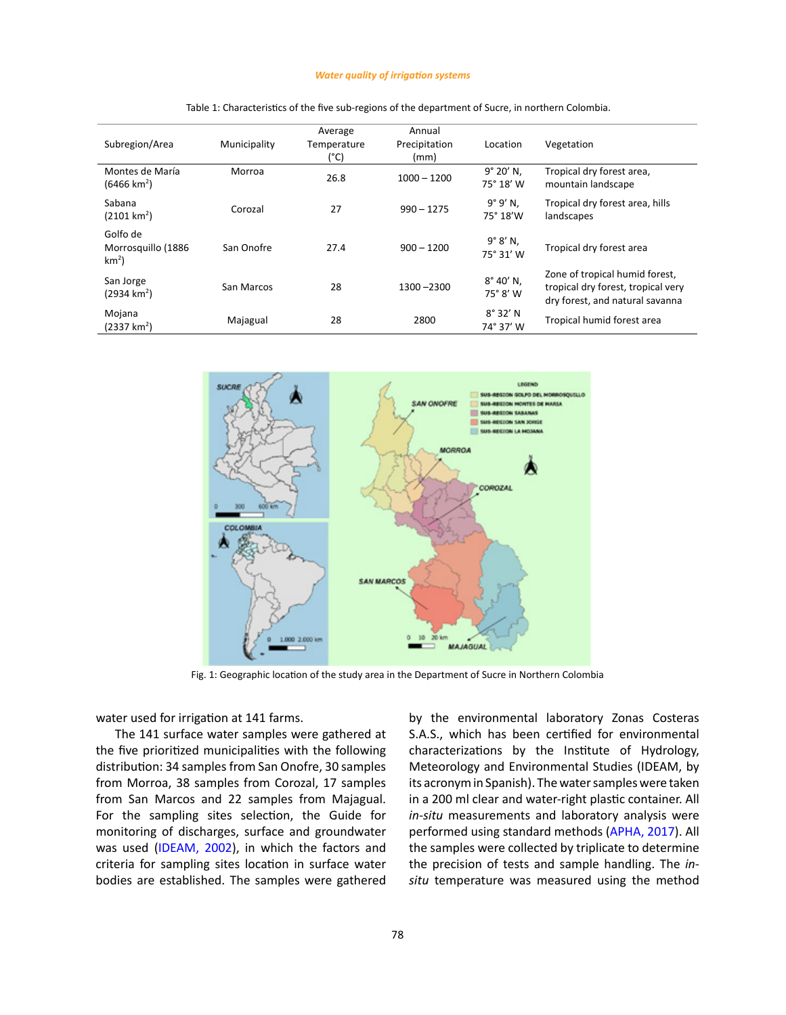#### *Water quality of irrigation systems*

<span id="page-3-0"></span>

| Subregion/Area                            | Municipality | Average<br>Temperature<br>(°C) | Annual<br>Precipitation<br>(mm) | Location                       | Vegetation                                                                                              |
|-------------------------------------------|--------------|--------------------------------|---------------------------------|--------------------------------|---------------------------------------------------------------------------------------------------------|
| Montes de María<br>$(6466 \text{ km}^2)$  | Morroa       | 26.8                           | $1000 - 1200$                   | 9° 20' N.<br>75° 18' W         | Tropical dry forest area,<br>mountain landscape                                                         |
| Sabana<br>(2101 km <sup>2</sup> )         | Corozal      | 27                             | $990 - 1275$                    | 9°9' N.<br>75° 18'W            | Tropical dry forest area, hills<br>landscapes                                                           |
| Golfo de<br>Morrosquillo (1886<br>$km2$ ) | San Onofre   | 27.4                           | $900 - 1200$                    | $9^\circ 8' N$ .<br>75° 31' W  | Tropical dry forest area                                                                                |
| San Jorge<br>$(2934 \text{ km}^2)$        | San Marcos   | 28                             | 1300 - 2300                     | $8^{\circ}$ 40' N,<br>75° 8' W | Zone of tropical humid forest,<br>tropical dry forest, tropical very<br>dry forest, and natural savanna |
| Mojana<br>$(2337 \text{ km}^2)$           | Majagual     | 28                             | 2800                            | $8^{\circ} 32' N$<br>74° 37' W | Tropical humid forest area                                                                              |

Table 1. Characteristics of the five sub-regions of the department of Sucre, in northern Colombia. Table 1: Characteristics of the five sub-regions of the department of Sucre, in northern Colombia.



Fig. 1: Geographic location of the study area in the Department of Sucre in Northern Colombia

water used for irrigation at 141 farms.

The 141 surface water samples were gathered at the five prioritized municipalities with the following distribution: 34 samples from San Onofre, 30 samples from Morroa, 38 samples from Corozal, 17 samples from San Marcos and 22 samples from Majagual. For the sampling sites selection, the Guide for monitoring of discharges, surface and groundwater was used ([IDEAM, 2002\)](#page-10-0), in which the factors and criteria for sampling sites location in surface water bodies are established. The samples were gathered by the environmental laboratory Zonas Costeras S.A.S., which has been certified for environmental characterizations by the Institute of Hydrology, Meteorology and Environmental Studies (IDEAM, by its acronym in Spanish). The water samples were taken in a 200 ml clear and water-right plastic container. All *in-situ* measurements and laboratory analysis were performed using standard methods ([APHA, 2017](#page-10-0)). All the samples were collected by triplicate to determine the precision of tests and sample handling. The *insitu* temperature was measured using the method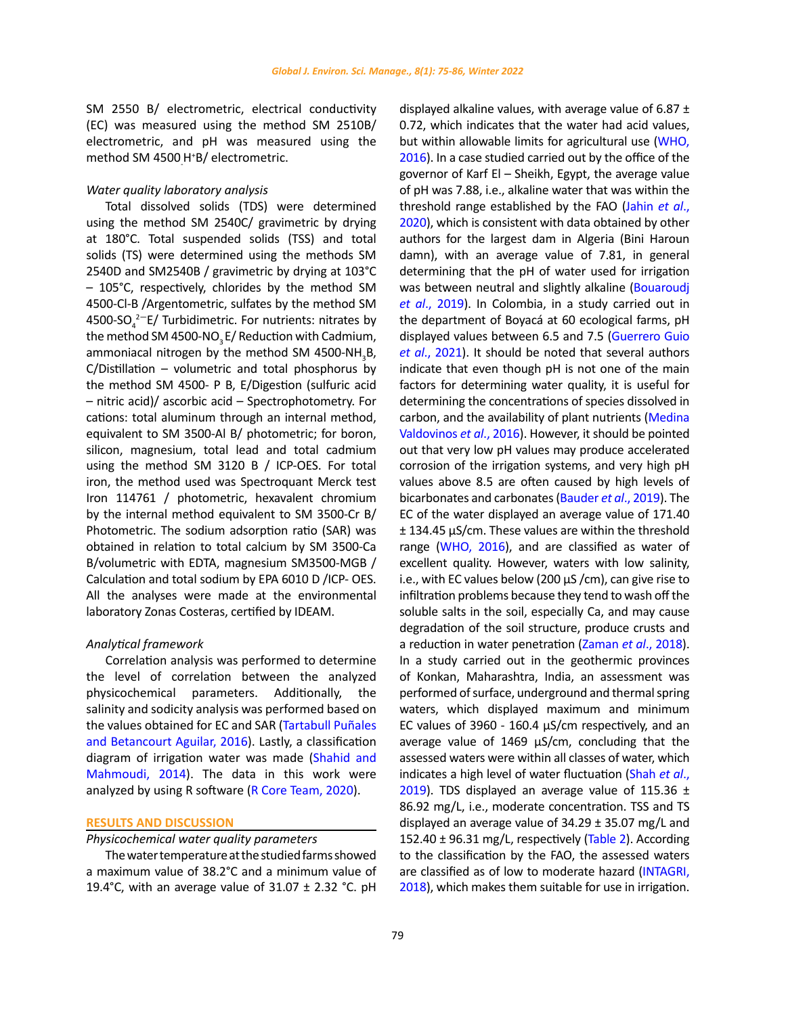SM 2550 B/ electrometric, electrical conductivity (EC) was measured using the method SM 2510B/ electrometric, and pH was measured using the method SM 4500<sub>.</sub>H<sup>+</sup>B/ electrometric.

## *Water quality laboratory analysis*

Total dissolved solids (TDS) were determined using the method SM 2540C/ gravimetric by drying at 180°C. Total suspended solids (TSS) and total solids (TS) were determined using the methods SM 2540D and SM2540B / gravimetric by drying at 103°C – 105°C, respectively, chlorides by the method SM 4500-Cl-B /Argentometric, sulfates by the method SM 4500-SO $_4^{2-}$ E/ Turbidimetric. For nutrients: nitrates by the method SM 4500-NO<sub>2</sub> E/ Reduction with Cadmium, ammoniacal nitrogen by the method SM 4500-NH<sub>3</sub>B, C/Distillation – volumetric and total phosphorus by the method SM 4500- P B, E/Digestion (sulfuric acid – nitric acid)/ ascorbic acid – Spectrophotometry. For cations: total aluminum through an internal method, equivalent to SM 3500-Al B/ photometric; for boron, silicon, magnesium, total lead and total cadmium using the method SM 3120 B / ICP-OES. For total iron, the method used was Spectroquant Merck test Iron 114761 / photometric, hexavalent chromium by the internal method equivalent to SM 3500-Cr B/ Photometric. The sodium adsorption ratio (SAR) was obtained in relation to total calcium by SM 3500-Ca B/volumetric with EDTA, magnesium SM3500-MGB / Calculation and total sodium by EPA 6010 D /ICP- OES. All the analyses were made at the environmental laboratory Zonas Costeras, certified by IDEAM.

### *Analytical framework*

Correlation analysis was performed to determine the level of correlation between the analyzed physicochemical parameters. Additionally, the salinity and sodicity analysis was performed based on the values obtained for EC and SAR [\(Tartabull Puñales](#page-10-0)  [and Betancourt Aguilar, 2016\)](#page-10-0). Lastly, a classification diagram of irrigation water was made ([Shahid and](#page-10-0)  [Mahmoudi, 2014\)](#page-10-0). The data in this work were analyzed by using R software ([R Core Team, 2020](#page-10-0)).

## **RESULTS AND DISCUSSION**

# *Physicochemical water quality parameters*

The water temperature at the studied farms showed a maximum value of 38.2°C and a minimum value of 19.4°C, with an average value of  $31.07 \pm 2.32$  °C. pH displayed alkaline values, with average value of 6.87  $\pm$ 0.72, which indicates that the water had acid values, but within allowable limits for agricultural use ([WHO,](#page-10-0) [2016](#page-10-0)). In a case studied carried out by the office of the governor of Karf El – Sheikh, Egypt, the average value of pH was 7.88, i.e., alkaline water that was within the threshold range established by the FAO ([Jahin](#page-10-0) *et al*., [2020](#page-10-0)), which is consistent with data obtained by other authors for the largest dam in Algeria (Bini Haroun damn), with an average value of 7.81, in general determining that the pH of water used for irrigation was between neutral and slightly alkaline ([Bouaroudj](#page-10-0) *et al*[., 2019](#page-10-0)). In Colombia, in a study carried out in the department of Boyacá at 60 ecological farms, pH displayed values between 6.5 and 7.5 ([Guerrero Guio](#page-10-0) *et al*[., 2021\)](#page-10-0). It should be noted that several authors indicate that even though pH is not one of the main factors for determining water quality, it is useful for determining the concentrations of species dissolved in carbon, and the availability of plant nutrients ([Medina](#page-10-0) [Valdovinos](#page-10-0) *et al*., 2016). However, it should be pointed out that very low pH values may produce accelerated corrosion of the irrigation systems, and very high pH values above 8.5 are often caused by high levels of bicarbonates and carbonates ([Bauder](#page-10-0) *et al*., 2019). The EC of the water displayed an average value of 171.40 ± 134.45 µS/cm. These values are within the threshold range ([WHO, 2016\)](#page-10-0), and are classified as water of excellent quality. However, waters with low salinity, i.e., with EC values below (200 µS /cm), can give rise to infiltration problems because they tend to wash off the soluble salts in the soil, especially Ca, and may cause degradation of the soil structure, produce crusts and a reduction in water penetration ([Zaman](#page-10-0) *et al*., 2018). In a study carried out in the geothermic provinces of Konkan, Maharashtra, India, an assessment was performed of surface, underground and thermal spring waters, which displayed maximum and minimum EC values of 3960 - 160.4 µS/cm respectively, and an average value of 1469 µS/cm, concluding that the assessed waters were within all classes of water, which indicates a high level of water fluctuation ([Shah](#page-10-0) *et al*., [2019](#page-10-0)). TDS displayed an average value of 115.36  $\pm$ 86.92 mg/L, i.e., moderate concentration. TSS and TS displayed an average value of  $34.29 \pm 35.07$  mg/L and 152.40 ± 96.31 mg/L, respectively [\(Table 2](#page-5-0)). According to the classification by the FAO, the assessed waters are classified as of low to moderate hazard [\(INTAGRI,](#page-10-0) [2018](#page-10-0)), which makes them suitable for use in irrigation.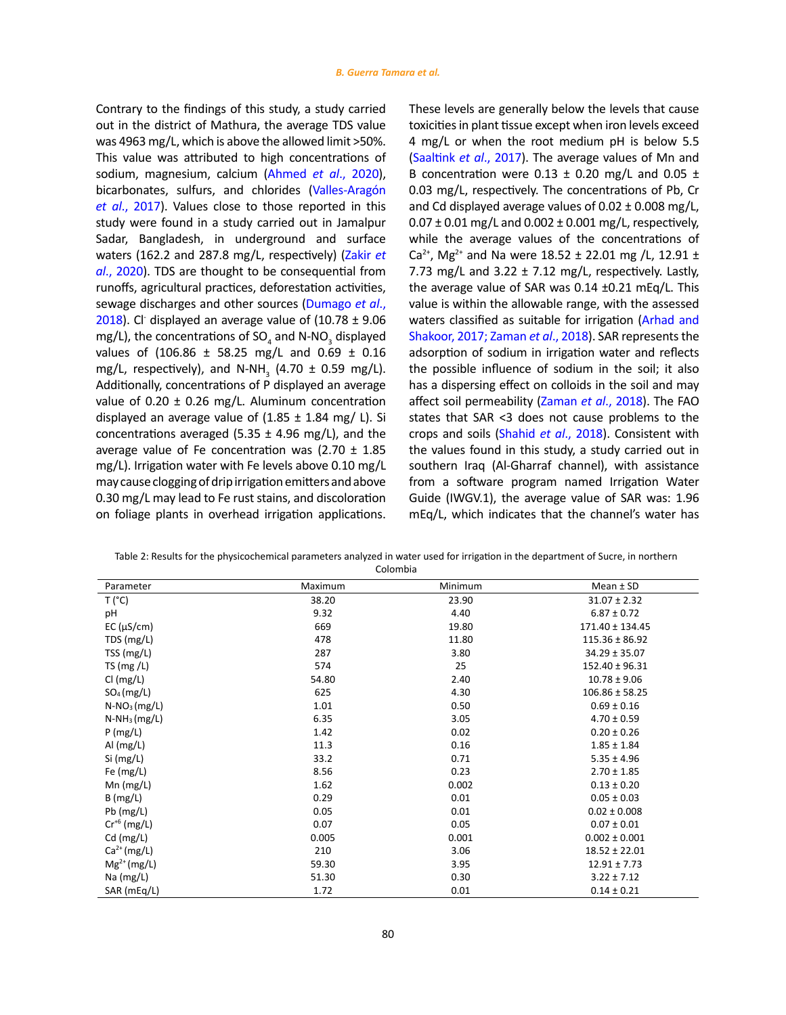<span id="page-5-0"></span>Contrary to the findings of this study, a study carried out in the district of Mathura, the average TDS value was 4963 mg/L, which is above the allowed limit >50%. This value was attributed to high concentrations of sodium, magnesium, calcium ([Ahmed](#page-10-0) *et al*., 2020), bicarbonates, sulfurs, and chlorides ([Valles-Aragón](#page-10-0)  *et al*[., 2017\)](#page-10-0). Values close to those reported in this study were found in a study carried out in Jamalpur Sadar, Bangladesh, in underground and surface waters (162.2 and 287.8 mg/L, respectively) [\(Zakir](#page-10-0) *et al*[., 2020\)](#page-10-0). TDS are thought to be consequential from runoffs, agricultural practices, deforestation activities, sewage discharges and other sources ([Dumago](#page-10-0) *et al*., [2018](#page-10-0)). Chi displayed an average value of  $(10.78 \pm 9.06)$ mg/L), the concentrations of SO<sub>4</sub> and N-NO<sub>3</sub> displayed values of  $(106.86 \pm 58.25 \text{ mg/L}$  and  $0.69 \pm 0.16$ mg/L, respectively), and N-NH<sub>3</sub> (4.70  $\pm$  0.59 mg/L). Additionally, concentrations of P displayed an average value of  $0.20 \pm 0.26$  mg/L. Aluminum concentration displayed an average value of  $(1.85 \pm 1.84 \text{ mg}/ \text{ L})$ . Si concentrations averaged (5.35  $\pm$  4.96 mg/L), and the average value of Fe concentration was (2.70  $\pm$  1.85 mg/L). Irrigation water with Fe levels above 0.10 mg/L may cause clogging of drip irrigation emitters and above 0.30 mg/L may lead to Fe rust stains, and discoloration on foliage plants in overhead irrigation applications.

These levels are generally below the levels that cause toxicities in plant tissue except when iron levels exceed 4 mg/L or when the root medium pH is below 5.5 ([Saaltink](#page-10-0) *et al*., 2017). The average values of Mn and B concentration were  $0.13 \pm 0.20$  mg/L and  $0.05 \pm 0.05$ 0.03 mg/L, respectively. The concentrations of Pb, Cr and Cd displayed average values of  $0.02 \pm 0.008$  mg/L,  $0.07 \pm 0.01$  mg/L and  $0.002 \pm 0.001$  mg/L, respectively, while the average values of the concentrations of Ca<sup>2+</sup>, Mg<sup>2+</sup> and Na were 18.52 ± 22.01 mg /L, 12.91 ± 7.73 mg/L and 3.22  $\pm$  7.12 mg/L, respectively. Lastly, the average value of SAR was 0.14 ±0.21 mEq/L. This value is within the allowable range, with the assessed waters classified as suitable for irrigation ([Arhad and](#page-10-0) [Shakoor, 2017; Zaman](#page-10-0) *et al*., 2018). SAR represents the adsorption of sodium in irrigation water and reflects the possible influence of sodium in the soil; it also has a dispersing effect on colloids in the soil and may affect soil permeability ([Zaman](#page-10-0) *et al*., 2018). The FAO states that SAR <3 does not cause problems to the crops and soils [\(Shahid](#page-10-0) *et al*., 2018). Consistent with the values found in this study, a study carried out in southern Iraq (Al-Gharraf channel), with assistance from a software program named Irrigation Water Guide (IWGV.1), the average value of SAR was: 1.96 mEq/L, which indicates that the channel's water has

| Table 2: Results for the physicochemical parameters analyzed in water used for irrigation in the department of Sucre, in northern |
|-----------------------------------------------------------------------------------------------------------------------------------|
| Colombia                                                                                                                          |

| Parameter        | Maximum | Minimum | Mean ± SD          |
|------------------|---------|---------|--------------------|
| $T(^{\circ}C)$   | 38.20   | 23.90   | $31.07 \pm 2.32$   |
| pH               | 9.32    | 4.40    | $6.87 \pm 0.72$    |
| EC (µS/cm)       | 669     | 19.80   | 171.40 ± 134.45    |
| TDS (mg/L)       | 478     | 11.80   | $115.36 \pm 86.92$ |
| TSS(mg/L)        | 287     | 3.80    | $34.29 \pm 35.07$  |
| TS ( $mg/L$ )    | 574     | 25      | $152.40 \pm 96.31$ |
| Cl (mg/L)        | 54.80   | 2.40    | $10.78 \pm 9.06$   |
| $SO_4$ (mg/L)    | 625     | 4.30    | $106.86 \pm 58.25$ |
| $N-NO3 (mg/L)$   | 1.01    | 0.50    | $0.69 \pm 0.16$    |
| $N-NH_3(mg/L)$   | 6.35    | 3.05    | $4.70 \pm 0.59$    |
| $P$ (mg/L)       | 1.42    | 0.02    | $0.20 \pm 0.26$    |
| Al $(mg/L)$      | 11.3    | 0.16    | $1.85 \pm 1.84$    |
| $Si$ (mg/L)      | 33.2    | 0.71    | $5.35 \pm 4.96$    |
| Fe $(mg/L)$      | 8.56    | 0.23    | $2.70 \pm 1.85$    |
| $Mn$ (mg/L)      | 1.62    | 0.002   | $0.13 \pm 0.20$    |
| B(mg/L)          | 0.29    | 0.01    | $0.05 \pm 0.03$    |
| $Pb$ (mg/L)      | 0.05    | 0.01    | $0.02 \pm 0.008$   |
| $Cr^{+6}$ (mg/L) | 0.07    | 0.05    | $0.07 \pm 0.01$    |
| $Cd$ (mg/L)      | 0.005   | 0.001   | $0.002 \pm 0.001$  |
| $Ca2+ (mg/L)$    | 210     | 3.06    | $18.52 \pm 22.01$  |
| $Mg^{2+} (mg/L)$ | 59.30   | 3.95    | $12.91 \pm 7.73$   |
| Na $(mg/L)$      | 51.30   | 0.30    | $3.22 \pm 7.12$    |
| SAR (mEq/L)      | 1.72    | 0.01    | $0.14 \pm 0.21$    |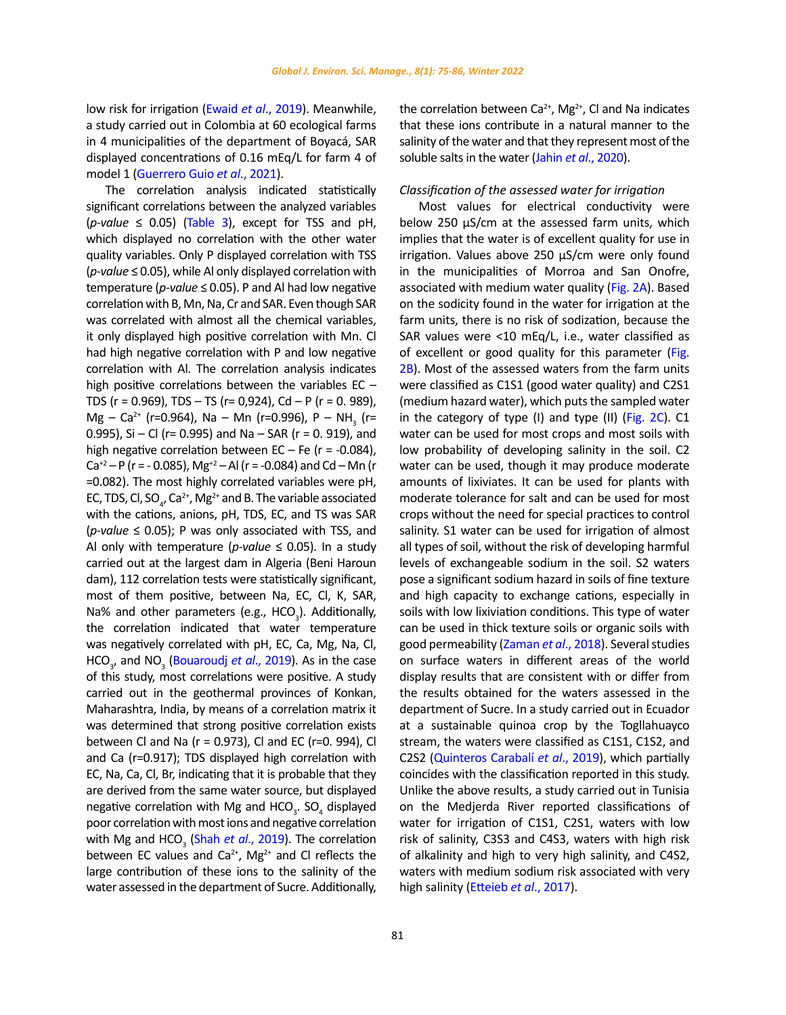low risk for irrigation (Ewaid *et al*[., 2019\)](#page-10-0). Meanwhile, a study carried out in Colombia at 60 ecological farms in 4 municipalities of the department of Boyacá, SAR displayed concentrations of 0.16 mEq/L for farm 4 of model 1 [\(Guerrero Guio](#page-10-0) *et al*., 2021).

The correlation analysis indicated statistically significant correlations between the analyzed variables  $(p-value \le 0.05)$  [\(Table 3\)](#page-7-0), except for TSS and pH, which displayed no correlation with the other water quality variables. Only P displayed correlation with TSS (*p-value* ≤ 0.05), while Al only displayed correlation with temperature (*p-value* ≤ 0.05). P and Al had low negative correlation with B, Mn, Na, Cr and SAR. Even though SAR was correlated with almost all the chemical variables, it only displayed high positive correlation with Mn. Cl had high negative correlation with P and low negative correlation with Al. The correlation analysis indicates high positive correlations between the variables EC – TDS ( $r = 0.969$ ), TDS - TS ( $r = 0.924$ ), Cd - P ( $r = 0.989$ ),  $Mg - Ca^{2+}$  (r=0.964), Na – Mn (r=0.996), P – NH<sub>3</sub> (r= 0.995), Si - Cl (r= 0.995) and Na - SAR (r = 0. 919), and high negative correlation between  $EC - Fe$  ( $r = -0.084$ ), Ca<sup>+2</sup> – P (r = -0.085), Mg<sup>+2</sup> – Al (r = -0.084) and Cd – Mn (r =0.082). The most highly correlated variables were pH, EC, TDS, Cl, SO<sub>4</sub>, Ca<sup>2+</sup>, Mg<sup>2+</sup> and B. The variable associated with the cations, anions, pH, TDS, EC, and TS was SAR (*p-value* ≤ 0.05); P was only associated with TSS, and Al only with temperature ( $p$ -value  $\leq$  0.05). In a study carried out at the largest dam in Algeria (Beni Haroun dam), 112 correlation tests were statistically significant, most of them positive, between Na, EC, Cl, K, SAR, Na% and other parameters (e.g.,  $HCO<sub>3</sub>$ ). Additionally, the correlation indicated that water temperature was negatively correlated with pH, EC, Ca, Mg, Na, Cl, HCO<sub>3</sub>, and NO<sub>3</sub> ([Bouaroudj](#page-10-0) *et al.*, 2019). As in the case of this study, most correlations were positive. A study carried out in the geothermal provinces of Konkan, Maharashtra, India, by means of a correlation matrix it was determined that strong positive correlation exists between Cl and Na (r = 0.973), Cl and EC (r=0. 994), Cl and Ca (r=0.917); TDS displayed high correlation with EC, Na, Ca, Cl, Br, indicating that it is probable that they are derived from the same water source, but displayed negative correlation with Mg and HCO<sub>3</sub>. SO<sub>4</sub> displayed poor correlation with most ions and negative correlation with Mg and HCO<sub>3</sub> (Shah *et al.*, 2019). The correlation between EC values and  $Ca^{2+}$ , Mg<sup>2+</sup> and Cl reflects the large contribution of these ions to the salinity of the water assessed in the department of Sucre. Additionally,

the correlation between  $Ca^{2+}$ , Mg<sup>2+</sup>, Cl and Na indicates that these ions contribute in a natural manner to the salinity of the water and that they represent most of the soluble salts in the water (Jahin *et al*[., 2020](#page-10-0)).

## *Classification of the assessed water for irrigation*

Most values for electrical conductivity were below 250 µS/cm at the assessed farm units, which implies that the water is of excellent quality for use in irrigation. Values above 250 µS/cm were only found in the municipalities of Morroa and San Onofre, associated with medium water quality [\(Fig. 2A\)](#page-8-0). Based on the sodicity found in the water for irrigation at the farm units, there is no risk of sodization, because the SAR values were <10 mEq/L, i.e., water classified as of excellent or good quality for this parameter [\(Fig.](#page-8-0) [2B](#page-8-0)). Most of the assessed waters from the farm units were classified as C1S1 (good water quality) and C2S1 (medium hazard water), which puts the sampled water in the category of type (I) and type (II) [\(Fig. 2C\)](#page-8-0). C1 water can be used for most crops and most soils with low probability of developing salinity in the soil. C2 water can be used, though it may produce moderate amounts of lixiviates. It can be used for plants with moderate tolerance for salt and can be used for most crops without the need for special practices to control salinity. S1 water can be used for irrigation of almost all types of soil, without the risk of developing harmful levels of exchangeable sodium in the soil. S2 waters pose a significant sodium hazard in soils of fine texture and high capacity to exchange cations, especially in soils with low lixiviation conditions. This type of water can be used in thick texture soils or organic soils with good permeability [\(Zaman](#page-10-0) *et al*., 2018). Several studies on surface waters in different areas of the world display results that are consistent with or differ from the results obtained for the waters assessed in the department of Sucre. In a study carried out in Ecuador at a sustainable quinoa crop by the Togllahuayco stream, the waters were classified as C1S1, C1S2, and C2S2 ([Quinteros Carabalí](#page-10-0) *et al*., 2019), which partially coincides with the classification reported in this study. Unlike the above results, a study carried out in Tunisia on the Medjerda River reported classifications of water for irrigation of C1S1, C2S1, waters with low risk of salinity, C3S3 and C4S3, waters with high risk of alkalinity and high to very high salinity, and C4S2, waters with medium sodium risk associated with very high salinity ([Etteieb](#page-10-0) *et al*., 2017).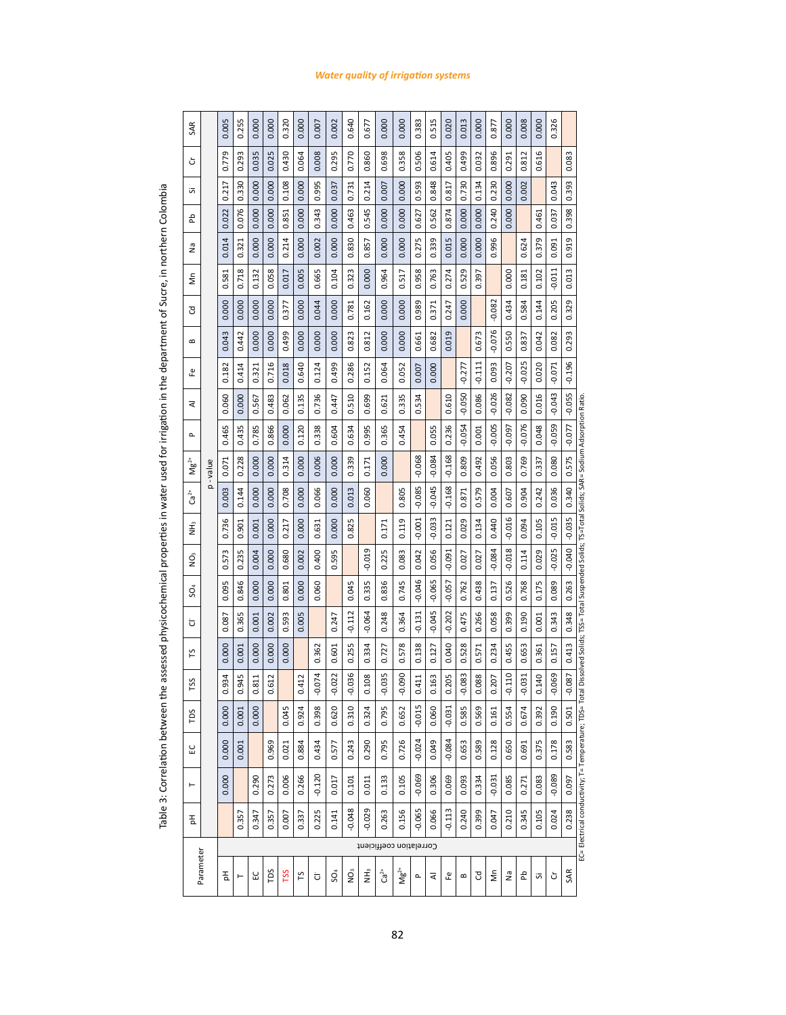<span id="page-7-0"></span>

|                                                                                                      | SAR                                |           | 0.005              | 0.255                | 0.000                | 0.000 | 0.320           | 0.000    | 0.007    | 0.002           | 0.640    | 677<br>ö      | 0.000                   | 0.000     | 0.383    | 0.515    | 0.020           | 0.013    | 0.000    | 0.877    | 0.000    | 0.008    | 0.000    | 0.326    |          |                                                                                                                                                       |
|------------------------------------------------------------------------------------------------------|------------------------------------|-----------|--------------------|----------------------|----------------------|-------|-----------------|----------|----------|-----------------|----------|---------------|-------------------------|-----------|----------|----------|-----------------|----------|----------|----------|----------|----------|----------|----------|----------|-------------------------------------------------------------------------------------------------------------------------------------------------------|
|                                                                                                      | ბ                                  |           | 0.779              | 0.293                | 0.035                | 0.025 | 0.430           | 0.064    | 0.008    | 0.295           | 0.770    | 0.860         | 0.698                   | 0.358     | 0.506    | 0.614    | 0.405           | 0.499    | 0.032    | 0.896    | 0.291    | 0.812    | 0.616    |          | 0.083    |                                                                                                                                                       |
|                                                                                                      | 迈                                  |           | 0.217              | 0.330                | 0.000                | 0.000 | 0.108           | 0.000    | 0.995    | 0.037           | 0.731    | 0.214         | 0.007                   | 0.000     | 0.593    | 0.848    | 0.817           | 0.730    | 0.134    | 0.230    | 0.000    | 0.002    |          | 0.043    | 0.393    |                                                                                                                                                       |
|                                                                                                      | 운                                  |           | 0.022              | 0.076                | 0.000                | 0.000 | 0.851           | 0.000    | 0.343    | 0.000           | 0.463    | 0.545         | 0.000                   | 0.000     | 0.627    | 0.562    | 0.874           | 0.000    | 0.000    | 0.240    | 0.000    |          | 0.461    | 0.037    | 0.398    |                                                                                                                                                       |
|                                                                                                      | ٤                                  |           | 0.014              | 0.321                | 0.000                | 0.000 | 0.214           | 0.000    | 0.002    | 0.000           | 0.830    | 0.857         | 0.000                   | 0.000     | 0.275    | 0.339    | 0.015           | 0.000    | 0.000    | 996<br>ö |          | 0.624    | 0.379    | 0.091    | 0.919    |                                                                                                                                                       |
| ミシミシミニンシングラン                                                                                         | ξ                                  |           | 581<br>ö           | 0.718                | 0.132                | 0.058 | 0.017           | 0.005    | 0.665    | 0.104           | 0.323    | 0.000         | 0.964                   | 0.517     | 0.958    | 0.763    | 0.274           | 0.529    | 397<br>ö |          | 0.000    | 0.181    | 0.102    | $-0.011$ | 0.013    |                                                                                                                                                       |
|                                                                                                      | ट                                  |           | 0.000              | 0.000                | 0.000                | 0.000 | 0.377           | 0.000    | 0.044    | 0.000           | 0.781    | 0.162         | 0.000                   | 0.000     | 0.989    | 0.371    | 0.247           | 0.000    |          | $-0.082$ | 0.434    | 0.584    | 0.144    | 0.205    | 0.329    |                                                                                                                                                       |
| う こうこうきょう                                                                                            | $\mathbf{a}$                       |           | 0.043              | 0.442                | 0.000                | 0.000 | 0.499           | 0.000    | 0.000    | 0.000           | 0.823    | 0.812         | 0.000                   | 0.000     | 0.661    | 0.682    | 0.019           |          | 0.673    | $-0.076$ | 0.550    | 0.837    | 0.042    | 0.082    | 0.293    |                                                                                                                                                       |
|                                                                                                      | 운                                  |           | 0.182              | 0.414                | 0.321                | 0.716 | 0.018           | 0.640    | 0.124    | 0.499           | 0.286    | 0.152         | 0.064                   | 0.052     | 0.007    | 0.000    |                 | $-0.277$ | $-0.111$ | 0.093    | $-0.207$ | $-0.025$ | 0.020    | $-0.071$ | $-0.196$ |                                                                                                                                                       |
|                                                                                                      | ব                                  |           | 0.060              | 0.000                | 0.567                | 0.483 | 0.062           | 0.135    | 0.736    | 0.447           | 0.510    | 699<br>ö      | 621<br>ö                | 0.335     | 534<br>ö |          | <b>G10</b><br>ö | $-0.050$ | 0.086    | $-0.026$ | $-0.082$ | 0.090    | 0.016    | $-0.043$ | $-0.055$ |                                                                                                                                                       |
| ביות התוכנות המונייני המונייני המ                                                                    | $\sim$                             |           | 0.465              | 0.435                | 0.785                | 0.866 | 0.000           | 0.120    | 0.338    | 0.604           | 0.634    | 0.995         | 0.365                   | 0.454     |          | 0.055    | 0.236           | $-0.054$ | 0.001    | $-0.005$ | $-0.097$ | $-0.076$ | 0.048    | $-0.059$ | $-0.077$ |                                                                                                                                                       |
|                                                                                                      | $\mathsf{M}^{\mathsf{B}^\natural}$ | p - value | 0.071              | 0.228                | 0.000                | 0.000 | 0.314           | 0.000    | 0.006    | 0.000           | 0.339    | 0.171         | 0.000                   |           | $-0.068$ | $-0.084$ | $-0.168$        | 0.809    | 0.492    | 0.056    | 0.803    | 0.769    | 0.337    | 0.080    | 0.575    |                                                                                                                                                       |
|                                                                                                      | $\mathrm{Ga}^2$                    |           | 0.003              | 0.144                | 0.000                | 0.000 | 0.708           | 0.000    | 0.066    | 0.000           | 0.013    | 0.060         |                         | 0.805     | $-0.085$ | $-0.045$ | $-0.168$        | 0.871    | 0.579    | 0.004    | 0.607    | 0.904    | 0.242    | 0.036    | 0.340    |                                                                                                                                                       |
| <u>בנו המנוע בין המנוע המנוע המנוע המנוע ה</u>                                                       | Ë                                  |           | 0.736              | 0.901                | 0.001                | 0.000 | 0.217           | 0.000    | 0.631    | 0.000           | 0.825    |               | 0.171                   | 0.119     | $-0.001$ | $-0.033$ | 0.121           | 0.029    | 0.134    | 0.440    | $-0.016$ | 0.094    | 0.105    | $-0.015$ | $-0.035$ |                                                                                                                                                       |
|                                                                                                      | Qw                                 |           | 573<br>ö           | 0.235                | 0.004                | 0.000 | 0.680           | 0.002    | 0.400    | 0.595           |          | $-0.019$      | 0.225                   | 0.083     | 0.042    | 0.056    | $-0.091$        | 0.027    | 0.027    | $-0.084$ | $-0.018$ | 0.114    | 0.029    | $-0.025$ | $-0.040$ |                                                                                                                                                       |
|                                                                                                      | SO <sub>4</sub>                    |           | 0.095              | 0.846                | 0.000                | 0.000 | 0.801           | 0.000    | 0.060    |                 | 0.045    | 0.335         | 0.836                   | 0.745     | $-0.046$ | $-0.065$ | $-0.057$        | 0.762    | 0.438    | 0.137    | 0.526    | 0.768    | 0.175    | 0.089    | 0.263    |                                                                                                                                                       |
|                                                                                                      | ō                                  |           | 0.087              | 0.365                | 0.001                | 0.002 | 0.593           | 0.005    |          | 0.247           | $-0.112$ | $-0.064$      | 0.248                   | 0.364     | $-0.131$ | $-0.045$ | $-0.202$        | 0.475    | 0.266    | 0.058    | 0.399    | 0.190    | 0.001    | 0.343    | 0.348    |                                                                                                                                                       |
|                                                                                                      | LS                                 |           | 0.000              | 0.001                | 0.000                | 0.000 | 0.000           |          | 0.362    | 0.601           | 0.255    | 0.334         | 0.727                   | 0.578     | 0.138    | 0.127    | 0.040           | 0.528    | 0.571    | 0.234    | 0.455    | 653<br>ö | 0.361    | 0.157    | 0.413    |                                                                                                                                                       |
| - במהלכות המוניקה ביותר לא המוניקה ביותר המוניקה המוניקה ביותר המוניקה ביותר המוניקה המוניקה ביותר ה | TSS                                |           | 0.934              | 0.945                | 0.811                | 0.612 |                 | 0.412    | $-0.074$ | $-0.022$        | $-0.036$ | 0.108         | $-0.035$                | $-0.090$  | 0.411    | 0.163    | 0.205           | $-0.083$ | 0.088    | 0.207    | $-0.110$ | $-0.031$ | 0.140    | $-0.069$ | $-0.087$ |                                                                                                                                                       |
|                                                                                                      | TDS                                |           | 8<br>$\dot{\circ}$ | 001<br>$\dot{\circ}$ | 8<br>$\breve{\circ}$ |       | <b>GNO</b><br>ö | 924<br>ö | 398<br>ö | 620<br>ö        | 0.310    | 0.324         | 795<br>$\ddot{\circ}$   | 652<br>ö  | 015<br>Ģ | 060<br>ö | 031<br>Ģ        | 585<br>ਂ | 569<br>ö | 61<br>ö  | 554<br>ö | 674<br>ö | 392<br>ö | 90<br>o  | 501<br>ö |                                                                                                                                                       |
|                                                                                                      | ౖ                                  |           | 0.000              | 0.001                |                      | 0.969 | 0.021           | 0.884    | 0.434    | 0.577           | 0.243    | 0.290         | 0.795                   | 0.726     | $-0.024$ | 0.049    | $-0.084$        | 0.653    | 0.589    | 0.128    | 0.650    | 0.691    | 0.375    | 0.178    | 0.583    |                                                                                                                                                       |
|                                                                                                      | $\vdash$                           |           | 0.000              |                      | 0.290                | 0.273 | 0.006           | 0.266    | $-0.120$ | 0.017           | 0.101    | 0.011         | 0.133                   | 0.105     | $-0.069$ | 0.306    | 0.069           | 0.093    | 0.334    | $-0.031$ | 0.085    | 0.271    | 0.083    | $-0.089$ | 0.097    | EC= Electrical conductivity; T= Temperature; TDS= Total Dissolved Solids; TSS= Total Suspended Solids; TS=Total Solids; SAR= Sodium Adsorption Ratio. |
|                                                                                                      | 玉                                  |           |                    | 0.357                | 0.347                | 0.357 | 0.007           | 0.337    | 0.225    | 0.141           | $-0.048$ | $-0.029$      | 0.263                   | 0.156     | $-0.065$ | 0.066    | $-0.113$        | 0.240    | 0.399    | 0.047    | 0.210    | 0.345    | 0.105    | 0.024    | 0.238    |                                                                                                                                                       |
|                                                                                                      |                                    |           |                    |                      |                      |       |                 |          |          |                 |          |               | Correlation coefficient |           |          |          |                 |          |          |          |          |          |          |          |          |                                                                                                                                                       |
|                                                                                                      | Parameter                          |           | 苦                  | H                    | ပ္မ                  | TDS   | TSS             | 51       | ö        | SO <sub>4</sub> | Qw       | $\tilde{\Xi}$ | ໍ່ຕື່                   | $Ng^{2+}$ | Δ.       | ₹        | 운               | $\bf{m}$ | ප        | δ        | g        | 운        | ïδ,      | Ğ        | SAR      |                                                                                                                                                       |
|                                                                                                      |                                    |           |                    |                      |                      |       |                 |          |          |                 |          |               |                         |           |          |          |                 |          |          |          |          |          |          |          |          |                                                                                                                                                       |

Table 3: Correlation between the assessed physicochemical properties in water used for irrigation in the department of Sucre, in northern Colombia Table 3: Correlation between the assessed physicochemical properties in water used for irrigation in the department of Sucre, in northern ColombiaTable 3. Correlation between the assessed properties in the assessed physical properties in the department of Sucre, in the department of Sucre, in Northern Colombia in the department of Sucre, in northern Colombia in nort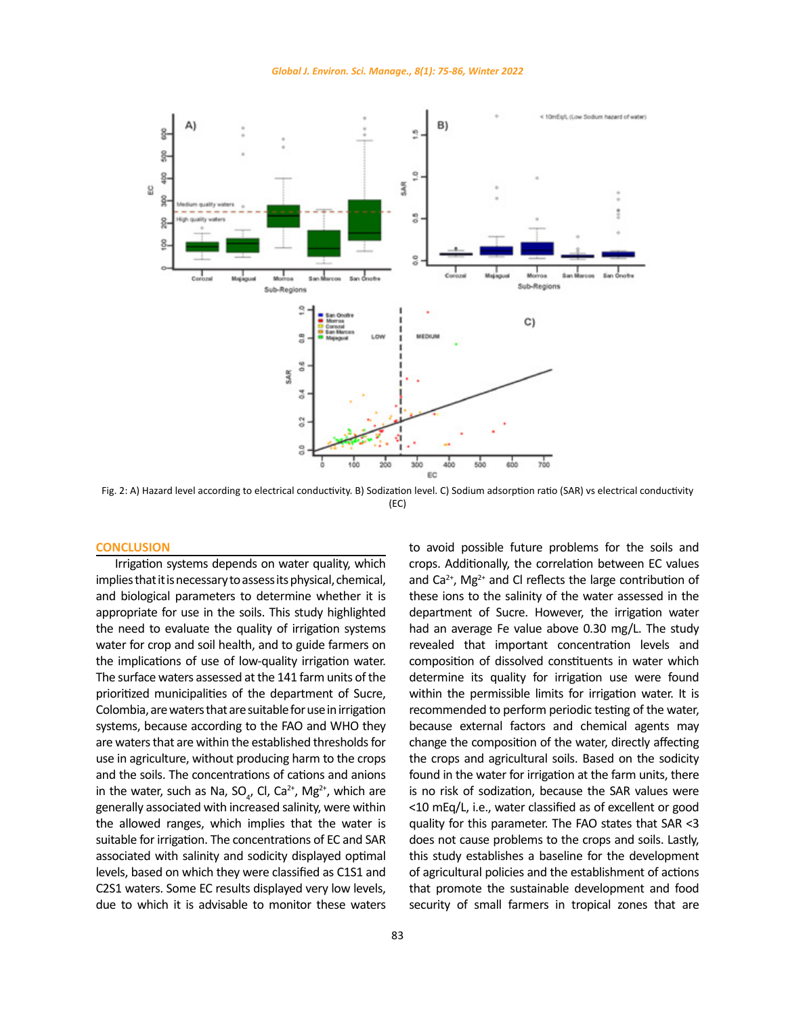<span id="page-8-0"></span>

Fig. 2: A) Hazard level according to electrical conductivity. B) Sodization level. C) Sodium adsorption ratio (SAR) vs electrical conductivity (EC)

#### **CONCLUSION**

Irrigation systems depends on water quality, which implies that it is necessary to assess its physical, chemical, and biological parameters to determine whether it is appropriate for use in the soils. This study highlighted the need to evaluate the quality of irrigation systems water for crop and soil health, and to guide farmers on the implications of use of low-quality irrigation water. The surface waters assessed at the 141 farm units of the prioritized municipalities of the department of Sucre, Colombia, are waters that are suitable for use in irrigation systems, because according to the FAO and WHO they are waters that are within the established thresholds for use in agriculture, without producing harm to the crops and the soils. The concentrations of cations and anions in the water, such as Na, SO<sub>4</sub>, Cl, Ca<sup>2+</sup>, Mg<sup>2+</sup>, which are generally associated with increased salinity, were within the allowed ranges, which implies that the water is suitable for irrigation. The concentrations of EC and SAR associated with salinity and sodicity displayed optimal levels, based on which they were classified as C1S1 and C2S1 waters. Some EC results displayed very low levels, due to which it is advisable to monitor these waters

crops. Additionally, the correlation between EC values and  $Ca<sup>2+</sup>$ , Mg<sup>2+</sup> and Cl reflects the large contribution of these ions to the salinity of the water assessed in the department of Sucre. However, the irrigation water had an average Fe value above 0.30 mg/L. The study revealed that important concentration levels and composition of dissolved constituents in water which determine its quality for irrigation use were found within the permissible limits for irrigation water. It is recommended to perform periodic testing of the water, because external factors and chemical agents may change the composition of the water, directly affecting the crops and agricultural soils. Based on the sodicity found in the water for irrigation at the farm units, there is no risk of sodization, because the SAR values were <10 mEq/L, i.e., water classified as of excellent or good quality for this parameter. The FAO states that SAR <3 does not cause problems to the crops and soils. Lastly, this study establishes a baseline for the development of agricultural policies and the establishment of actions that promote the sustainable development and food security of small farmers in tropical zones that are

to avoid possible future problems for the soils and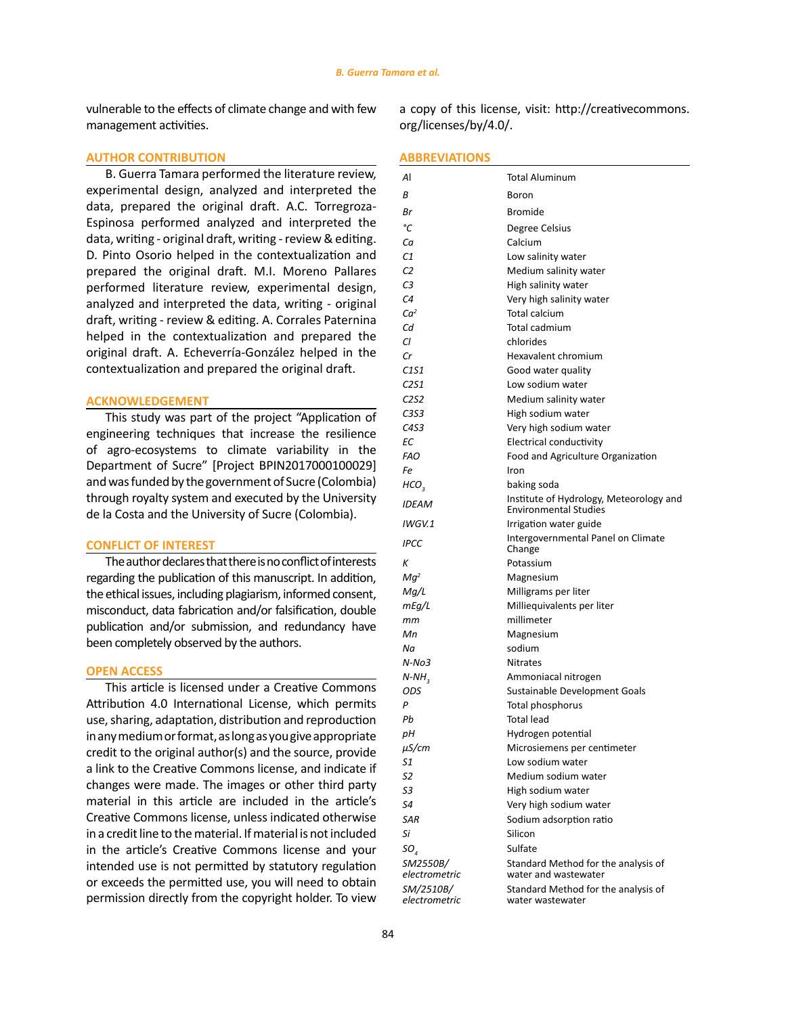vulnerable to the effects of climate change and with few management activities.

a copy of this license, visit: http://creativecommons. org/licenses/by/4.0/.

#### **AUTHOR CONTRIBUTION**

B. Guerra Tamara performed the literature review, experimental design, analyzed and interpreted the data, prepared the original draft. A.C. Torregroza-Espinosa performed analyzed and interpreted the data, writing - original draft, writing - review & editing. D. Pinto Osorio helped in the contextualization and prepared the original draft. M.I. Moreno Pallares performed literature review, experimental design, analyzed and interpreted the data, writing - original draft, writing - review & editing. A. Corrales Paternina helped in the contextualization and prepared the original draft. A. Echeverría-González helped in the contextualization and prepared the original draft.

## **ACKNOWLEDGEMENT**

This study was part of the project "Application of engineering techniques that increase the resilience of agro-ecosystems to climate variability in the Department of Sucre" [Project BPIN2017000100029] and was funded by the government of Sucre (Colombia) through royalty system and executed by the University de la Costa and the University of Sucre (Colombia).

## **CONFLICT OF INTEREST**

The author declares that there is no conflict of interests regarding the publication of this manuscript. In addition, the ethical issues, including plagiarism, informed consent, misconduct, data fabrication and/or falsification, double publication and/or submission, and redundancy have been completely observed by the authors.

# **OPEN ACCESS**

This article is licensed under a Creative Commons Attribution 4.0 International License, which permits use, sharing, adaptation, distribution and reproduction in any medium or format, as long as you give appropriate credit to the original author(s) and the source, provide a link to the Creative Commons license, and indicate if changes were made. The images or other third party material in this article are included in the article's Creative Commons license, unless indicated otherwise in a credit line to the material. If material is not included in the article's Creative Commons license and your intended use is not permitted by statutory regulation or exceeds the permitted use, you will need to obtain permission directly from the copyright holder. To view

#### **ABBREVIATIONS**

| Al                            | <b>Total Aluminum</b>                                                   |
|-------------------------------|-------------------------------------------------------------------------|
| В                             | Boron                                                                   |
| Вr                            | <b>Bromide</b>                                                          |
| °C                            | Degree Celsius                                                          |
| Cа                            | Calcium                                                                 |
| C1                            | Low salinity water                                                      |
| C2                            | Medium salinity water                                                   |
| C3                            | High salinity water                                                     |
| C <sub>4</sub>                | Very high salinity water                                                |
| Ca <sup>2</sup>               | <b>Total calcium</b>                                                    |
| Сd                            | Total cadmium                                                           |
| Cl                            | chlorides                                                               |
| Сr                            | Hexavalent chromium                                                     |
| C <sub>1</sub> S <sub>1</sub> | Good water quality                                                      |
| C2S1                          | Low sodium water                                                        |
| C <sub>252</sub>              | Medium salinity water                                                   |
| C <sub>353</sub>              | High sodium water                                                       |
| C4S3                          | Very high sodium water                                                  |
| ЕC                            | Electrical conductivity                                                 |
| <b>FAO</b>                    | Food and Agriculture Organization                                       |
| Fe                            | Iron                                                                    |
| HCO <sub>3</sub>              | baking soda                                                             |
| <b>IDEAM</b>                  | Institute of Hydrology, Meteorology and<br><b>Environmental Studies</b> |
| IWGV.1                        | Irrigation water guide                                                  |
| <b>IPCC</b>                   | Intergovernmental Panel on Climate<br>Change                            |
| Κ                             | Potassium                                                               |
| $Mq^2$                        | Magnesium                                                               |
| Mg/L                          | Milligrams per liter                                                    |
| mEq/L                         | Milliequivalents per liter                                              |
| mm                            | millimeter                                                              |
| Мn                            | Magnesium                                                               |
| Νa                            | sodium                                                                  |
| $N-No3$                       | <b>Nitrates</b>                                                         |
| $N-NH$ <sub>3</sub>           | Ammoniacal nitrogen                                                     |
| ODS                           | Sustainable Development Goals                                           |
| P                             | Total phosphorus                                                        |
| Pb                            | <b>Total lead</b>                                                       |
| pН                            | Hydrogen potential                                                      |
| µS/cm                         | Microsiemens per centimeter                                             |
| 51                            | Low sodium water                                                        |
| S2                            | Medium sodium water                                                     |
| SЗ                            | High sodium water                                                       |
| S4                            | Very high sodium water                                                  |
| <b>SAR</b>                    | Sodium adsorption ratio                                                 |
| Si                            | Silicon                                                                 |
| SO <sub>4</sub>               | Sulfate                                                                 |
| SM2550B/<br>electrometric     | Standard Method for the analysis of<br>water and wastewater             |
| SM/2510B/<br>electrometric    | Standard Method for the analysis of<br>water wastewater                 |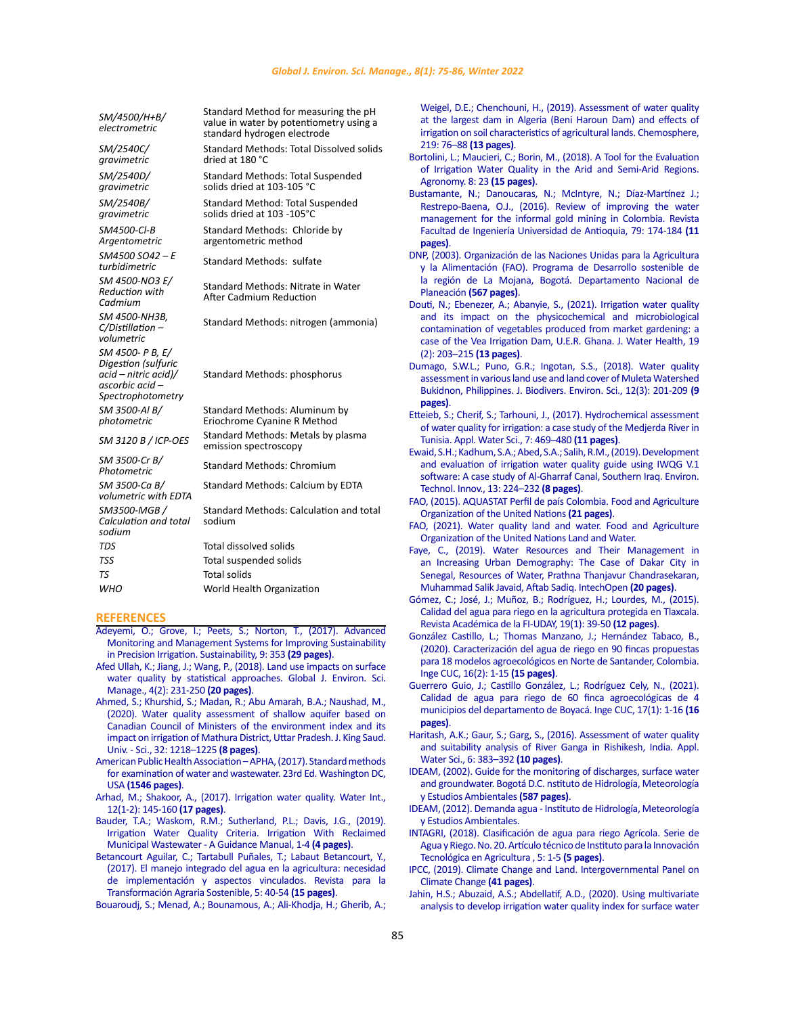<span id="page-10-0"></span>

| SM/4500/H+B/<br>electrometric                                                                           | Standard Method for measuring the pH<br>value in water by potentiometry using a<br>standard hydrogen electrode | Weigel, D.E.; Chenchouni, H., (2019). Assessment o<br>at the largest dam in Algeria (Beni Haroun Dam)<br>irrigation on soil characteristics of agricultural lands.                               |
|---------------------------------------------------------------------------------------------------------|----------------------------------------------------------------------------------------------------------------|--------------------------------------------------------------------------------------------------------------------------------------------------------------------------------------------------|
| SM/2540C/<br>gravimetric                                                                                | Standard Methods: Total Dissolved solids<br>dried at 180 °C                                                    | 219: 76-88 (13 pages).<br>Bortolini, L.; Maucieri, C.; Borin, M., (2018). A Tool for                                                                                                             |
| SM/2540D/<br>gravimetric                                                                                | <b>Standard Methods: Total Suspended</b><br>solids dried at 103-105 °C                                         | of Irrigation Water Quality in the Arid and Semi<br>Agronomy. 8: 23 (15 pages).<br>Bustamante, N.; Danoucaras, N.; McIntyre, N.; Día                                                             |
| SM/2540B/<br>gravimetric                                                                                | Standard Method: Total Suspended<br>solids dried at 103 -105°C                                                 | Restrepo-Baena, O.J., (2016). Review of improvi<br>management for the informal gold mining in Cole                                                                                               |
| SM4500-CI-B<br>Argentometric                                                                            | Standard Methods: Chloride by<br>argentometric method                                                          | Facultad de Ingeniería Universidad de Antioquia, 79<br>pages).                                                                                                                                   |
| $SM4500$ SO42 - E<br>turbidimetric                                                                      | Standard Methods: sulfate                                                                                      | DNP, (2003). Organización de las Naciones Unidas para<br>y la Alimentación (FAO). Programa de Desarrollo                                                                                         |
| SM 4500-NO3 E/<br><b>Reduction with</b><br>Cadmium                                                      | Standard Methods: Nitrate in Water<br>After Cadmium Reduction                                                  | la región de La Mojana, Bogotá. Departamento<br>Planeación (567 pages).<br>Douti, N.; Ebenezer, A.; Abanyie, S., (2021). Irrigatior                                                              |
| SM 4500-NH3B,<br>C/Distillation-<br>volumetric                                                          | Standard Methods: nitrogen (ammonia)                                                                           | and its impact on the physicochemical and i<br>contamination of vegetables produced from marke<br>case of the Vea Irrigation Dam, U.E.R. Ghana. J. Wa                                            |
| SM 4500- P B, E/<br>Digestion (sulfuric<br>$acid - nitric acid$<br>ascorbic acid -<br>Spectrophotometry | Standard Methods: phosphorus                                                                                   | (2): 203-215 (13 pages).<br>Dumago, S.W.L.; Puno, G.R.; Ingotan, S.S., (2018).<br>assessment in various land use and land cover of Mul<br>Bukidnon, Philippines. J. Biodivers. Environ. Sci., 12 |
| SM 3500-AI B/<br>photometric                                                                            | Standard Methods: Aluminum by<br>Eriochrome Cyanine R Method                                                   | pages).<br>Etteieb, S.; Cherif, S.; Tarhouni, J., (2017). Hydrochemi                                                                                                                             |
| SM 3120 B / ICP-OES                                                                                     | Standard Methods: Metals by plasma<br>emission spectroscopy                                                    | of water quality for irrigation: a case study of the Me<br>Tunisia. Appl. Water Sci., 7: 469-480 (11 pages).<br>Ewaid, S.H.; Kadhum, S.A.; Abed, S.A.; Salih, R.M., (2019)                       |
| SM 3500-Cr B/<br>Photometric                                                                            | <b>Standard Methods: Chromium</b>                                                                              | and evaluation of irrigation water quality guide us<br>software: A case study of Al-Gharraf Canal, Souther                                                                                       |
| SM 3500-Ca B/<br>volumetric with EDTA                                                                   | Standard Methods: Calcium by EDTA                                                                              | Technol. Innov., 13: 224-232 (8 pages).<br>FAO, (2015). AQUASTAT Perfil de país Colombia. Food a                                                                                                 |
| SM3500-MGB /<br>Calculation and total<br>sodium                                                         | Standard Methods: Calculation and total<br>sodium                                                              | Organization of the United Nations (21 pages).<br>FAO, (2021). Water quality land and water. Food a                                                                                              |
| <b>TDS</b>                                                                                              | Total dissolved solids                                                                                         | Organization of the United Nations Land and Water.<br>Faye, C., (2019). Water Resources and Their M.                                                                                             |
| <b>TSS</b>                                                                                              | Total suspended solids                                                                                         | an Increasing Urban Demography: The Case of                                                                                                                                                      |
| <b>TS</b>                                                                                               | <b>Total solids</b>                                                                                            | Senegal, Resources of Water, Prathna Thanjavur Ch                                                                                                                                                |
| <b>WHO</b>                                                                                              | World Health Organization                                                                                      | Muhammad Salik Javaid, Aftab Sadiq. IntechOpen (2                                                                                                                                                |

#### **REFERENCES**

- [Adeyemi, O.; Grove, I.; Peets, S.; Norton, T., \(2017\). Advanced](https://www.sciencedirect.com/science/article/abs/pii/S0168169919314826)  [Monitoring and Management Systems for Improving Sustainability](https://www.sciencedirect.com/science/article/abs/pii/S0168169919314826)  [in Precision Irrigation. Sustainability, 9: 353](https://www.sciencedirect.com/science/article/abs/pii/S0168169919314826) **(29 pages)**.
- [Afed Ullah, K.; Jiang, J.; Wang, P., \(2018\). Land use impacts on surface](https://www.gjesm.net/article_29934_308ed81e6c066f5e80a10020aa0b8012.pdf)  [water quality by statistical approaches. Global J. Environ. Sci.](https://www.gjesm.net/article_29934_308ed81e6c066f5e80a10020aa0b8012.pdf)  [Manage., 4\(2\): 231-250](https://www.gjesm.net/article_29934_308ed81e6c066f5e80a10020aa0b8012.pdf) **(20 pages)**.
- [Ahmed, S.; Khurshid, S.; Madan, R.; Abu Amarah, B.A.; Naushad, M.,](https://www.sciencedirect.com/science/article/pii/S1018364719318294)  [\(2020\). Water quality assessment of shallow aquifer based on](https://www.sciencedirect.com/science/article/pii/S1018364719318294)  [Canadian Council of Ministers of the environment index and its](https://www.sciencedirect.com/science/article/pii/S1018364719318294)  [impact on irrigation of Mathura District, Uttar Pradesh. J. King Saud.](https://www.sciencedirect.com/science/article/pii/S1018364719318294)  [Univ. - Sci., 32: 1218–1225](https://www.sciencedirect.com/science/article/pii/S1018364719318294) **(8 pages)**.
- [American Public Health Association APHA, \(2017\). Standard methods](https://www.academia.edu/38769108/Standard_Methods_For_the_Examination_of_Water_and_Wastewater_23nd_edition)  [for examination of water and wastewater. 23rd Ed. Washington DC,](https://www.academia.edu/38769108/Standard_Methods_For_the_Examination_of_Water_and_Wastewater_23nd_edition)  USA **[\(1546 pages\)](https://www.academia.edu/38769108/Standard_Methods_For_the_Examination_of_Water_and_Wastewater_23nd_edition)**.
- [Arhad, M.; Shakoor, A., \(2017\). Irrigation water quality. Water Int.,](https://www.researchgate.net/publication/320531819_Irrigation_Water_Quality)  [12\(1-2\): 145-160](https://www.researchgate.net/publication/320531819_Irrigation_Water_Quality) **(17 pages)**.
- Bauder, T.A.; Waskom, R.M.; Sutherland, P.L.; Davis, J.G., (2019). [Irrigation Water Quality Criteria. Irrigation With Reclaimed](https://extension.colostate.edu/docs/pubs/crops/00506.pdf)  [Municipal Wastewater - A Guidance Manual, 1-4](https://extension.colostate.edu/docs/pubs/crops/00506.pdf) **(4 pages)**.
- [Betancourt Aguilar, C.; Tartabull Puñales, T.; Labaut Betancourt, Y.,](https://aes.ucf.edu.cu/index.php/aes/article/view/119)  [\(2017\). El manejo integrado del agua en la agricultura: necesidad](https://aes.ucf.edu.cu/index.php/aes/article/view/119)  [de implementación y aspectos vinculados. Revista para la](https://aes.ucf.edu.cu/index.php/aes/article/view/119)  [Transformación Agraria Sostenible, 5: 40-54](https://aes.ucf.edu.cu/index.php/aes/article/view/119) **(15 pages)**.

[Bouaroudj, S.; Menad, A.; Bounamous, A.; Ali-Khodja, H.; Gherib, A.;](https://www.sciencedirect.com/science/article/abs/pii/S0045653518323002?via%3Dihub) 

of water quality n) and effects of is. Chemosphere,

- or the Evaluation mi-Arid Regions.
- Díaz-Martínez J.; poving the water iolombia. Revista [Facultad de Ingeniería Universidad de Antioquia, 79: 174-184](http://www.scielo.org.co/pdf/rfiua/n79/n79a16.pdf) **(11**
- ara la Agricultura llo sostenible de nto Nacional de
- on water quality microbiological containt from market gardening: a Water Health, 19
- ). Water quality luleta Watershed [Bukidnon, Philippines. J. Biodivers. Environ. Sci., 12\(3\): 201-209](https://www.innspub.net/wp-content/uploads/2018/04/JBES-Vol-12-No-3-p-201-209.pdf) **(9**
- mical assessment Medjerda River in
- Eg. b.<br>Ewalopment using IWQG V.1 ern Iraq. Environ.
- d and Agriculture
- and Agriculture
- Management in of Dakar City in Chandrasekaran, [Muhammad Salik Javaid, Aftab Sadiq. IntechOpen](https://www.intechopen.com/books/resources-of-water/water-resources-and-their-management-in-an-increasing-urban-demography-the-case-of-dakar-city-in-sen) **(20 pages)**.
- [Gómez, C.; José, J.; Muñoz, B.; Rodríguez, H.; Lourdes, M., \(2015\).](https://www.redalyc.org/articulo.oa?id=46750924004) [Calidad del agua para riego en la agricultura protegida en Tlaxcala.](https://www.redalyc.org/articulo.oa?id=46750924004) [Revista Académica de la FI-UDAY, 19\(1\): 39-50](https://www.redalyc.org/articulo.oa?id=46750924004) **(12 pages)**.
- [González Castillo, L.; Thomas Manzano, J.; Hernández Tabaco, B.,](https://revistascientificas.cuc.edu.co/ingecuc/article/view/2841) [\(2020\). Caracterización del agua de riego en 90 fincas propuestas](https://revistascientificas.cuc.edu.co/ingecuc/article/view/2841) [para 18 modelos agroecológicos en Norte de Santander, Colombia.](https://revistascientificas.cuc.edu.co/ingecuc/article/view/2841) [Inge CUC, 16\(2\): 1-15](https://revistascientificas.cuc.edu.co/ingecuc/article/view/2841) **(15 pages)**.
- [Guerrero Guio, J.; Castillo González, L.; Rodríguez Cely, N., \(2021\).](https://revistascientificas.cuc.edu.co/ingecuc/article/view/3083) [Calidad de agua para riego de 60 finca agroecológicas de 4](https://revistascientificas.cuc.edu.co/ingecuc/article/view/3083) [municipios del departamento de Boyacá. Inge CUC, 17\(1\): 1-16](https://revistascientificas.cuc.edu.co/ingecuc/article/view/3083) **(16 [pages\)](https://revistascientificas.cuc.edu.co/ingecuc/article/view/3083)**.
- [Haritash, A.K.; Gaur, S.; Garg, S., \(2016\). Assessment of water quality](https://link.springer.com/article/10.1007/s13201-014-0235-1) [and suitability analysis of River Ganga in Rishikesh, India. Appl.](https://link.springer.com/article/10.1007/s13201-014-0235-1) [Water Sci., 6: 383–392](https://link.springer.com/article/10.1007/s13201-014-0235-1) **(10 pages)**.
- IDEAM, (2002). Guide for the monitoring of discharges, surface water and groundwater. Bogotá D.C. nstituto de Hidrología, Meteorología y Estudios Ambientales **(587 pages)**.
- [IDEAM, \(2012\). Demanda agua Instituto de Hidrología, Meteorología](http://www.siac.gov.co/web/siac/demandaagua (accessed 4.20.21).) [y Estudios Ambientales.](http://www.siac.gov.co/web/siac/demandaagua (accessed 4.20.21).)
- [INTAGRI, \(2018\). Clasificación de agua para riego Agrícola. Serie de](https://www.intagri.com/articulos/agua-riego/clasificacion-de-aguas-para-riego-agricola#:~:text=En los campos agr%C3%ADcolas factores,tener cierto tipo de agua) [Agua y Riego. No. 20. Artículo técnico de Instituto para la Innovación](https://www.intagri.com/articulos/agua-riego/clasificacion-de-aguas-para-riego-agricola#:~:text=En los campos agr%C3%ADcolas factores,tener cierto tipo de agua) [Tecnológica en Agricultura , 5: 1-5](https://www.intagri.com/articulos/agua-riego/clasificacion-de-aguas-para-riego-agricola#:~:text=En los campos agr%C3%ADcolas factores,tener cierto tipo de agua) **(5 pages)**.
- [IPCC, \(2019\). Climate Change and Land. Intergovernmental Panel on](https://www.ipcc.ch/site/assets/uploads/sites/4/2020/02/SPM_Updated-Jan20.pdf) [Climate Change](https://www.ipcc.ch/site/assets/uploads/sites/4/2020/02/SPM_Updated-Jan20.pdf) **(41 pages)**.
- [Jahin, H.S.; Abuzaid, A.S.; Abdellatif, A.D., \(2020\). Using multivariate](https://www.sciencedirect.com/science/article/abs/pii/S2352186419303578?via%3Dihub) [analysis to develop irrigation water quality index for surface water](https://www.sciencedirect.com/science/article/abs/pii/S2352186419303578?via%3Dihub)